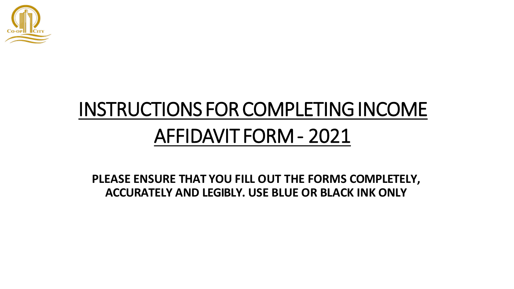

# INSTRUCTIONS FORCOMPLETINGINCOME AFFIDAVIT FORM- 2021

**PLEASE ENSURE THAT YOU FILL OUT THE FORMS COMPLETELY, ACCURATELY AND LEGIBLY. USE BLUE OR BLACK INK ONLY**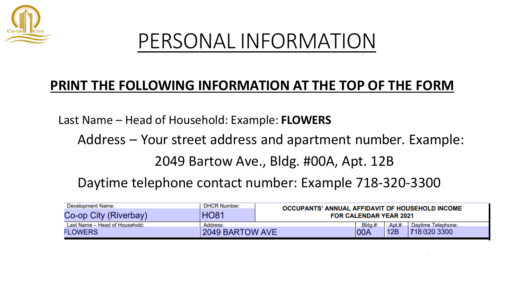

### PERSONAL INFORMATION

#### **PRINT THE FOLLOWING INFORMATION AT THE TOP OF THE FORM**

Last Name – Head of Household: Example: **FLOWERS**

Address – Your street address and apartment number. Example:

2049 Bartow Ave., Bldg. #00A, Apt. 12B

Daytime telephone contact number: Example 718-320-3300

| Development Name:                                | <b>DHCR Number:</b>         | <b>OCCUPANTS' ANNUAL AFFIDAVIT OF HOUSEHOLD INCOME</b><br><b>FOR CALENDAR YEAR 2021</b> |                           |                |                                    |  |  |
|--------------------------------------------------|-----------------------------|-----------------------------------------------------------------------------------------|---------------------------|----------------|------------------------------------|--|--|
| Co-op City (Riverbay)                            | <b>HO81</b>                 |                                                                                         |                           |                |                                    |  |  |
| Last Name - Head of Household:<br><b>FLOWERS</b> | Address:<br>2049 BARTOW AVE |                                                                                         | Bldg.#<br>$\mathsf{IOOA}$ | Apt. #:<br>12B | Daytime Telephone:<br>718)320 3300 |  |  |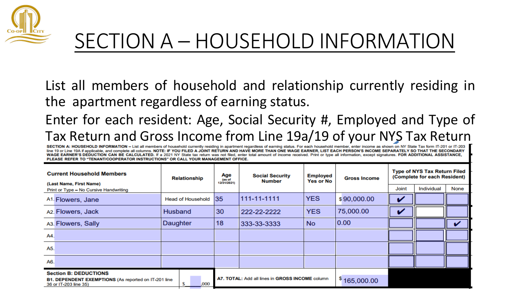

### SECTION A – HOUSEHOLD INFORMATION

List all members of household and relationship currently residing in the apartment regardless of earning status.

#### Enter for each resident: Age, Social Security #, Employed and Type of Tax Return and Gross Income from Line 1901 of Tax Return Theore and a currently residing in apartment regardless of earning status. For each household member, enter income as shown on NY STax Return 197-201 or IT-201

line 19 or Line 19A if applicable, and complete all columns. NOTE: IF YOU FILED A JOINT RETURN AND HAVE MORE THAN ONE WAGE EARNER, LIST EACH PERSON'S INCOME SEPARATELY SO THAT THE SECONDARY WAGE EARNER'S DEDUCTION CAN BE CALCULATED. If a 2021 NY State tax return was not filed, enter total amount of income received. Print or type all information, except signatures. FOR ADDITIONAL ASSISTANCE. PLEASE REFER TO "TENANT/COOPERATOR INSTRUCTIONS" OR CALL YOUR MANAGEMENT OFFICE.

| <b>Current Household Members</b><br>(Last Name, First Name)                                                          | <b>Relationship</b>      | Age<br><b>Social Security</b><br><b>Employed</b><br>(as of<br><b>Yes or No</b><br>Number<br>12/31/2021) |                                                 | <b>Gross Income</b> | <b>Type of NYS Tax Return Filed</b><br>(Complete for each Resident) |              |            |      |
|----------------------------------------------------------------------------------------------------------------------|--------------------------|---------------------------------------------------------------------------------------------------------|-------------------------------------------------|---------------------|---------------------------------------------------------------------|--------------|------------|------|
| Print or Type - No Cursive Handwriting                                                                               |                          |                                                                                                         |                                                 |                     |                                                                     | <b>Joint</b> | Individual | None |
| A <sub>1</sub> . Flowers, Jane                                                                                       | <b>Head of Household</b> | 35                                                                                                      | 111-11-1111                                     | <b>YES</b>          | \$90,000.00                                                         |              |            |      |
| A2. Flowers, Jack                                                                                                    | Husband                  | 30                                                                                                      | 222-22-2222                                     | <b>YES</b>          | 75,000.00                                                           | u            |            |      |
| A <sub>3</sub> . Flowers, Sally                                                                                      | Daughter                 | 18                                                                                                      | 333-33-3333                                     | <b>No</b>           | 0.00                                                                |              |            |      |
| A4.                                                                                                                  |                          |                                                                                                         |                                                 |                     |                                                                     |              |            |      |
| A5.                                                                                                                  |                          |                                                                                                         |                                                 |                     |                                                                     |              |            |      |
| A6.                                                                                                                  |                          |                                                                                                         |                                                 |                     |                                                                     |              |            |      |
| <b>Section B: DEDUCTIONS</b><br><b>B1. DEPENDENT EXEMPTIONS (As reported on IT-201 line</b><br>36 or IT-203 line 35) | ,000                     |                                                                                                         | A7. TOTAL: Add all lines in GROSS INCOME column |                     | \$165,000.00                                                        |              |            |      |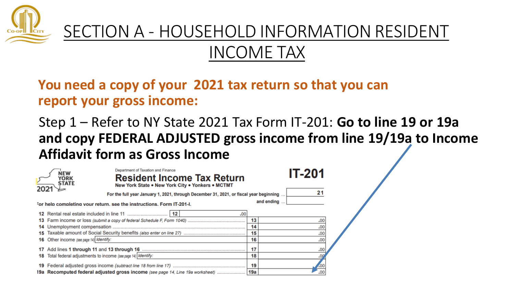

#### SECTION A - HOUSEHOLD INFORMATION RESIDENT INCOME TAX

#### **You need a copy of your 2021 tax return so that you can report your gross income:**

Step 1 – Refer to NY State 2021 Tax Form IT-201: **Go to line 19 or 19a and copy FEDERAL ADJUSTED gross income from line 19/19a to Income Affidavit form as Gross Income**

|    | Department of Taxation and Finance<br>NEW<br><b>Resident Income Tax Return</b><br>YORK<br><b>STATE</b><br>New York State . New York City . Yonkers . MCTMT |     | <b>IT-201</b> |  |
|----|------------------------------------------------------------------------------------------------------------------------------------------------------------|-----|---------------|--|
|    | For the full year January 1, 2021, through December 31, 2021, or fiscal year beginning                                                                     |     |               |  |
|    | For help completing your return, see the instructions. Form IT-201-I.                                                                                      |     | and ending    |  |
|    | 12<br>.00                                                                                                                                                  |     |               |  |
|    |                                                                                                                                                            | 13  | .00           |  |
|    |                                                                                                                                                            | 14  | .00           |  |
|    |                                                                                                                                                            | 15  | .00           |  |
|    | 16 Other income (see page 14) Identify:                                                                                                                    | 16  | .00           |  |
|    |                                                                                                                                                            | 17  |               |  |
| 18 | Total federal adjustments to income (see page 14) Identify:                                                                                                | 18  |               |  |
|    |                                                                                                                                                            | 19  |               |  |
|    | 19a Recomputed federal adjusted gross income (see page 14, Line 19a worksheet)                                                                             | 19a | .00           |  |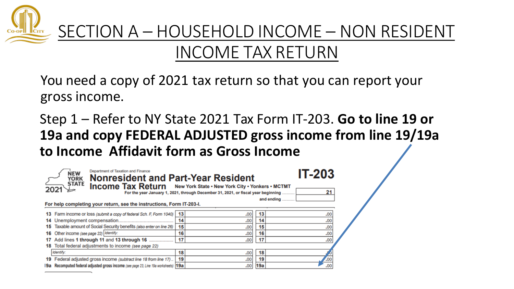

#### INCOME TAX RETURN

You need a copy of 2021 tax return so that you can report your gross income.

Step 1 – Refer to NY State 2021 Tax Form IT-203. **Go to line 19 or 19a and copy FEDERAL ADJUSTED gross income from line 19/19a to Income Affidavit form as Gross Income**

| Department of Taxation and Finance<br><b>NEW</b><br><b>Nonresident and Part-Year Resident</b><br><b>YORK</b><br><b>STATE</b><br>Income Tax Return New York State . New York City . Yonkers . MCTMT<br>For the year January 1, 2021, through December 31, 2021, or fiscal year beginning. |                                                                                      |    |      |  |     | <b>IT-203</b><br>21 |  |
|------------------------------------------------------------------------------------------------------------------------------------------------------------------------------------------------------------------------------------------------------------------------------------------|--------------------------------------------------------------------------------------|----|------|--|-----|---------------------|--|
|                                                                                                                                                                                                                                                                                          | For help completing your return, see the instructions, Form IT-203-I.                |    |      |  |     | and ending          |  |
|                                                                                                                                                                                                                                                                                          | 13 Farm income or loss (submit a copy of federal Sch. F, Form 1040)                  | 13 | .00  |  | 13  | .00.                |  |
|                                                                                                                                                                                                                                                                                          |                                                                                      | 14 | .00  |  | 14  | .00                 |  |
| 15                                                                                                                                                                                                                                                                                       | Taxable amount of Social Security benefits (also enter on line 26)                   | 15 | .00  |  | 15  | .00                 |  |
|                                                                                                                                                                                                                                                                                          | 16 Other income (see page 22) Identify:                                              | 16 | .00  |  | 16  | .00                 |  |
|                                                                                                                                                                                                                                                                                          | 17 Add lines 1 through 11 and 13 through 16                                          | 17 | .00  |  | 17  | .00                 |  |
|                                                                                                                                                                                                                                                                                          | 18 Total federal adjustments to income (see page 22)                                 |    |      |  |     |                     |  |
|                                                                                                                                                                                                                                                                                          | Identify:                                                                            | 18 | .00  |  | 18  |                     |  |
|                                                                                                                                                                                                                                                                                          | 19 Federal adjusted gross income (subtract line 18 from line 17)                     | 19 | .00. |  | 19  | .00                 |  |
|                                                                                                                                                                                                                                                                                          | 19a Recomputed federal adjusted gross income (see page 23, Line 19a worksheets)  19a |    | .001 |  | 19a | .00                 |  |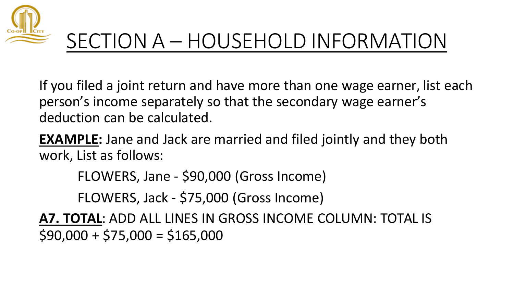

# SECTION A – HOUSEHOLD INFORMATION

If you filed a joint return and have more than one wage earner, list each person's income separately so that the secondary wage earner's deduction can be calculated.

**EXAMPLE:** Jane and Jack are married and filed jointly and they both work, List as follows:

FLOWERS, Jane - \$90,000 (Gross Income)

FLOWERS, Jack - \$75,000 (Gross Income)

**A7. TOTAL**: ADD ALL LINES IN GROSS INCOME COLUMN: TOTAL IS  $$90,000 + $75,000 = $165,000$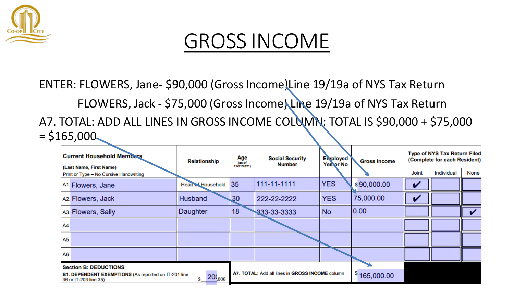

#### GROSS INCOME

ENTER: FLOWERS, Jane- \$90,000 (Gross Income)Line 19/19a of NYS Tax Return FLOWERS, Jack - \$75,000 (Gross Income) Line 19/19a of NYS Tax Return A7. TOTAL: ADD ALL LINES IN GROSS INCOME COLUMN: TOTAL IS \$90,000 + \$75,000  $= $165,000$ 

| <b>Current Household Members</b><br>(Last Name, First Name)                   | <b>Relationship</b>      | Age<br>(as of<br>12/31/2021) | <b>Social Security</b><br><b>Number</b>         | <b>En ployed</b><br>Yes or No | <b>Gross Income</b> |       | <b>Type of NYS Tax Return Filed</b><br>(Complete for each Resident) |      |
|-------------------------------------------------------------------------------|--------------------------|------------------------------|-------------------------------------------------|-------------------------------|---------------------|-------|---------------------------------------------------------------------|------|
| Print or Type - No Cursive Handwriting                                        |                          |                              |                                                 |                               |                     | Joint | Individual                                                          | None |
| A <sub>1</sub> . Flowers, Jane                                                | <b>Head of Household</b> | 35                           | 111-11-1111                                     | <b>YES</b>                    | \$90,000.00         |       |                                                                     |      |
| A2. Flowers, Jack                                                             | Husband                  | 30 <sub>o</sub>              | 222-22-2222                                     | <b>YES</b>                    | 75,000.00           |       |                                                                     |      |
| A <sub>3</sub> . Flowers, Sally                                               | Daughter                 | 18                           | 333-33-3333                                     | <b>No</b>                     | 0.00                |       |                                                                     |      |
| A4.                                                                           |                          |                              |                                                 |                               |                     |       |                                                                     |      |
| A5.                                                                           |                          |                              |                                                 |                               |                     |       |                                                                     |      |
| A6.                                                                           |                          |                              |                                                 |                               |                     |       |                                                                     |      |
| <b>Section B: DEDUCTIONS</b>                                                  |                          |                              |                                                 |                               |                     |       |                                                                     |      |
| B1. DEPENDENT EXEMPTIONS (As reported on IT-201 line<br>36 or IT-203 line 35) | 20(000)                  |                              | A7. TOTAL: Add all lines in GROSS INCOME column |                               | \$165,000.00        |       |                                                                     |      |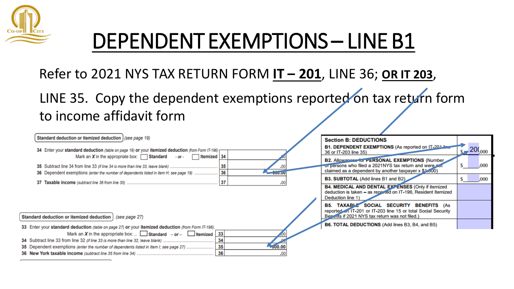

# DEPENDENT EXEMPTIONS – LINE B1

Refer to 2021 NYS TAX RETURN FORM **IT – 201**, LINE 36; **OR IT 203**,

LINE 35. Copy the dependent exemptions reported on tax return form to income affidavit form

| Standard deduction or itemized deduction   (see page 19)                                            | <b>Section B: DEDUCTIONS</b>                                                                                            |
|-----------------------------------------------------------------------------------------------------|-------------------------------------------------------------------------------------------------------------------------|
| 34 Enter your standard deduction (table on page 19) or your itemized deduction (from Form IT-196) r | B1. DEPENDENT EXEMPTIONS (As reported on IT-2014)<br>,20( $_{000}$<br>36 or IT-203 line 35)                             |
| Mark an X in the appropriate box: $\Box$ Standard - or - $\Box$ Itemized 34                         | B2. Allowances for PERSONAL EXEMPTIONS (Number                                                                          |
| 35                                                                                                  | or persons who filed a 2021NYS tax return and were not<br>.00(<br>claimed as a dependent by another taxpayer x \$1,000) |
| 36 Dependent exemptions (enter the number of dependents listed in item H; see page 19)  36          | B3. SUBTOTAL (Add lines B1 and B2)<br>.000                                                                              |
| 37<br>.00                                                                                           | B4. MEDICAL AND DENTAL EXTENSES (Only if itemized                                                                       |
|                                                                                                     | deduction is taken - as reported on IT-196, Resident Itemized<br>Deduction line 1)                                      |
|                                                                                                     | <b>B5. TAXABLE SOCIAL SECURITY BENEFITS (As</b><br>reported on IT-201 or IT-203 line 15 or total Social Security        |
| Standard deduction or itemized deduction   (see page 27)                                            | Beneits if 2021 NYS tax return was not filed.)                                                                          |
| 33 Enter your standard deduction (table on page 27) or your itemized deduction (from Form IT-196).  | <b>B6. TOTAL DEDUCTIONS (Add lines B3, B4, and B5)</b>                                                                  |
| Mark an X in the appropriate box:  Standard - or - Litemized   33                                   |                                                                                                                         |
| 34                                                                                                  |                                                                                                                         |
| $-000.00$                                                                                           |                                                                                                                         |
| 36<br>.00                                                                                           |                                                                                                                         |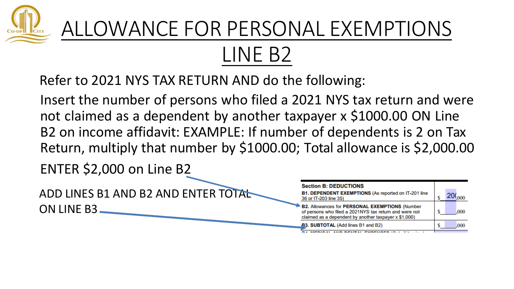

## ALLOWANCE FOR PERSONAL EXEMPTIONS LINE B2

Refer to 2021 NYS TAX RETURN AND do the following:

Insert the number of persons who filed a 2021 NYS tax return and were not claimed as a dependent by another taxpayer x \$1000.00 ON Line B2 on income affidavit: EXAMPLE: If number of dependents is 2 on Tax Return, multiply that number by \$1000.00; Total allowance is \$2,000.00

ENTER \$2,000 on Line B2

ADD LINES B1 AND B2 AND ENTER TOTAL ON LINE B3

| <b>Section B: DEDUCTIONS</b>                                                                                                                                             |      |
|--------------------------------------------------------------------------------------------------------------------------------------------------------------------------|------|
| <b>B1. DEPENDENT EXEMPTIONS (As reported on IT-201 line</b><br>36 or IT-203 line 35)                                                                                     |      |
| <b>B2. Allowances for PERSONAL EXEMPTIONS (Number</b><br>of persons who filed a 2021NYS tax return and were not<br>claimed as a dependent by another taxpayer x \$1,000) | .000 |
| <b>B3. SUBTOTAL (Add lines B1 and B2)</b>                                                                                                                                | .000 |
|                                                                                                                                                                          |      |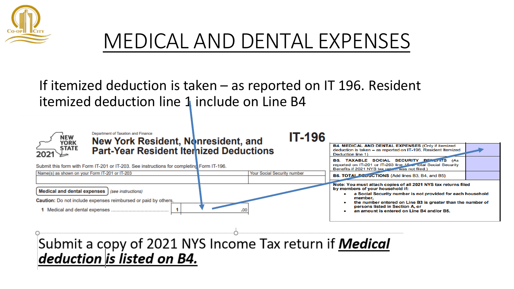

### MEDICAL AND DENTAL EXPENSES

**IT-196** 

If itemized deduction is taken – as reported on IT 196. Resident itemized deduction line 1 include on Line B4



**Department of Taxation and Finance** New York Resident, Nonresident, and **Part-Year Resident Iternized Deductions** 

Submit this form with Form IT-201 or IT-203. See instructions for completing Form IT-196.



**B4. MEDICAL AND DENTAL EXPENSES (Only if itemized** deduction is taken - as reported on IT-196, Resident Itemized Deduction line 1) **B5. TAXABLE SOCIAL SECURITY BENCTITS (As** reported on IT-201 or IT-203 line 15 or total Social Security Benefits if 2021 NYS tax return was not filed.) B6. TOTAL PLOUCTIONS (Add lines B3, B4, and B5) Note: You must attach copies of all 2021 NYS tax returns filed by members of your household if:

- a Social Security number is not provided for each household member.
- the number entered on Line B3 is greater than the number of persons listed in Section A. or
- an amount is entered on Line B4 and/or B5.

Submit a copy of 2021 NYS Income Tax return if **Medical** deduction is listed on B4.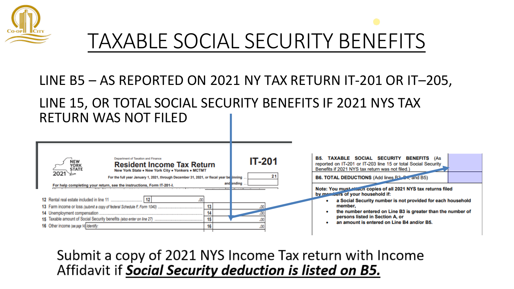

# TAXABLE SOCIAL SECURITY BENEFITS

#### LINE B5 – AS REPORTED ON 2021 NY TAX RETURN IT-201 OR IT–205,

#### LINE 15, OR TOTAL SOCIAL SECURITY BENEFITS IF 2021 NYS TAX RETURN WAS NOT FILED

| Department of Taxation and Finance                                                                                                                                                                                                                                                                                                                                                                                                                                                            |                                                                                                                                                                                                                                                                                                                                                                                                                                                                                                                                                                                    |
|-----------------------------------------------------------------------------------------------------------------------------------------------------------------------------------------------------------------------------------------------------------------------------------------------------------------------------------------------------------------------------------------------------------------------------------------------------------------------------------------------|------------------------------------------------------------------------------------------------------------------------------------------------------------------------------------------------------------------------------------------------------------------------------------------------------------------------------------------------------------------------------------------------------------------------------------------------------------------------------------------------------------------------------------------------------------------------------------|
| <b>IT-201</b><br>NEW<br>YORK<br><b>Resident Income Tax Return</b><br><b>STATE</b><br>New York State . New York City . Yonkers . MCTMT<br>2021 \∠<br>For the full year January 1, 2021, through December 31, 2021, or fiscal year be linning<br>and ending<br>For help completing your return, see the instructions, Form IT-201-I.<br>The Contract of<br>13<br>13 Farm income or loss (submit a copy of federal Schedule F, Form 1040)<br>14<br>15<br>16 Other income (see page 14) Identify: | <b>TAXABLE SOCIAL SECURITY BENEFITS (As</b><br>B5.<br>reported on IT-201 or IT-203 line 15 or total Social Security<br>Benefits if 2021 NYS tax return was not filed.)<br>B6. TOTAL DEDUCTIONS (Add lines B <sub>2</sub> 2 <sub>+</sub> , and B5)<br>Note: You must client copies of all 2021 NYS tax returns filed<br>by monitors of your household if:<br>a Social Security number is not provided for each household<br>member.<br>the number entered on Line B3 is greater than the number of<br>persons listed in Section A, or<br>an amount is entered on Line B4 and/or B5. |

#### Submit a copy of 2021 NYS Income Tax return with Income Affidavit if Social Security deduction is listed on B5.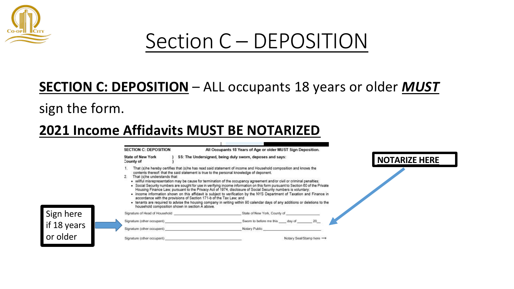

### Section C – DEPOSITION

#### **SECTION C: DEPOSITION** – ALL occupants 18 years or older *MUST*

sign the form.

#### **2021 Income Affidavits MUST BE NOTARIZED**

|             | <b>SECTION C: DEPOSITION</b>                                                                                                                           | All Occupants 18 Years of Age or older MUST Sign Deposition.                                                                                                                                                                                                                                                                                                                                                                                                                                                                                                                                                                                                                                                                                                                                                                                            |               |
|-------------|--------------------------------------------------------------------------------------------------------------------------------------------------------|---------------------------------------------------------------------------------------------------------------------------------------------------------------------------------------------------------------------------------------------------------------------------------------------------------------------------------------------------------------------------------------------------------------------------------------------------------------------------------------------------------------------------------------------------------------------------------------------------------------------------------------------------------------------------------------------------------------------------------------------------------------------------------------------------------------------------------------------------------|---------------|
|             | <b>State of New York</b><br>County of                                                                                                                  | SS: The Undersigned, being duly sworn, deposes and says:                                                                                                                                                                                                                                                                                                                                                                                                                                                                                                                                                                                                                                                                                                                                                                                                | NOTARIZE HERE |
|             | That (s)he understands that:<br>accordance with the provisions of Section 171-b of the Tax Law; and<br>household composition shown in section A above. | That (s)he hereby certifies that (s)he has read said statement of income and Household composition and knows the<br>contents thereof: that the said statement is true to the personal knowledge of deponent.<br>· willful misrepresentation may be cause for termination of the occupancy agreement and/or civil or criminal penalties;<br>. Social Security numbers are sought for use in verifying income information on this form pursuant to Section 60 of the Private<br>Housing Finance Law; pursuant to the Privacy Act of 1974, disclosure of Social Security numbers is voluntary;<br>• income information shown on this affidavit is subject to verification by the NYS Department of Taxation and Finance in<br>. tenants are required to advise the housing company in writing within 90 calendar days of any additions or deletions to the |               |
| Sign here   | Signature of Head of Household                                                                                                                         | State of New York, County of                                                                                                                                                                                                                                                                                                                                                                                                                                                                                                                                                                                                                                                                                                                                                                                                                            |               |
| if 18 years | Signature (other occupant)<br>Signature (other occupant).                                                                                              | Swom to before me this. ____ day of<br>Notary Public                                                                                                                                                                                                                                                                                                                                                                                                                                                                                                                                                                                                                                                                                                                                                                                                    |               |
| or older    | Signature (other occupant)                                                                                                                             | Notary Seal/Stamp here ->                                                                                                                                                                                                                                                                                                                                                                                                                                                                                                                                                                                                                                                                                                                                                                                                                               |               |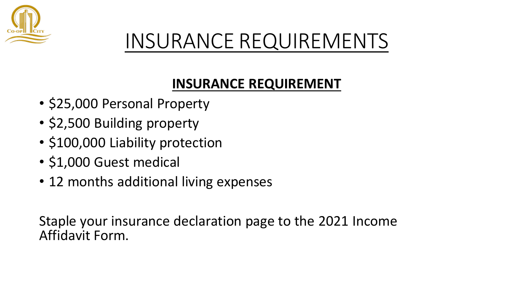

## INSURANCE REQUIREMENTS

#### **INSURANCE REQUIREMENT**

- \$25,000 Personal Property
- \$2,500 Building property
- \$100,000 Liability protection
- \$1,000 Guest medical
- 12 months additional living expenses

Staple your insurance declaration page to the 2021 Income Affidavit Form.